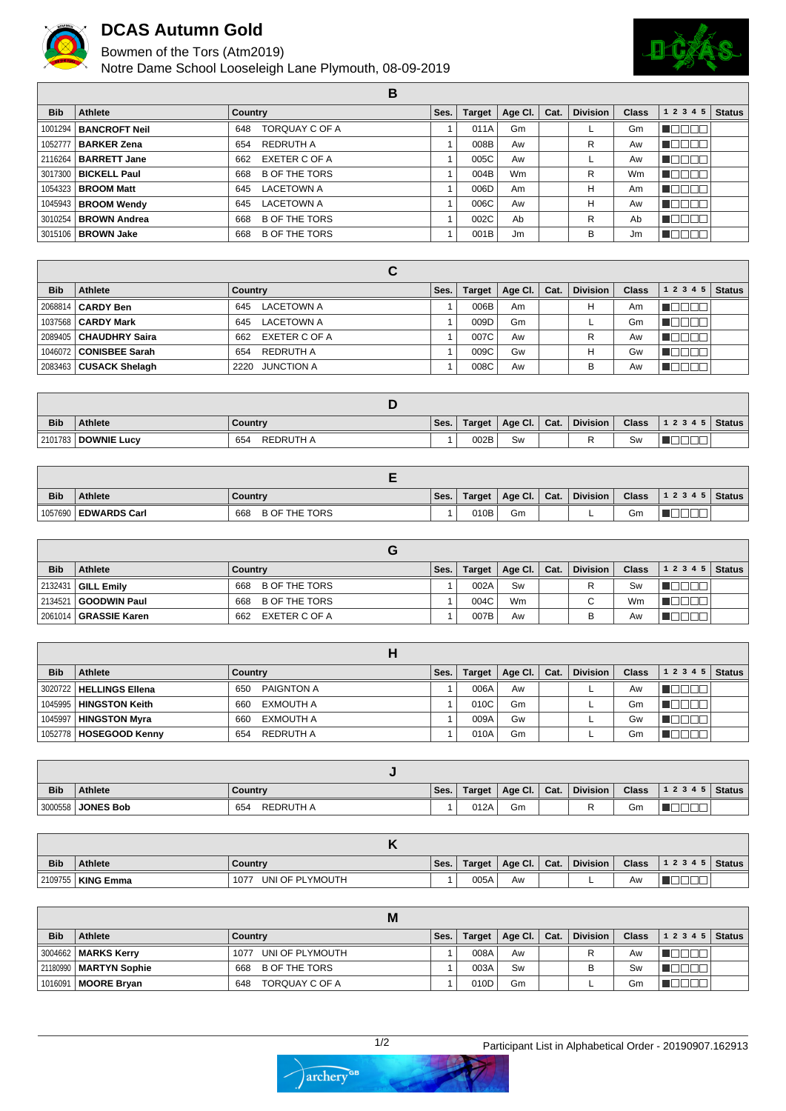

## **DCAS Autumn Gold**

Bowmen of the Tors (Atm2019)

Notre Dame School Looseleigh Lane Plymouth, 08-09-2019



|            |                               | в                           |      |               |             |      |                 |              |              |               |
|------------|-------------------------------|-----------------------------|------|---------------|-------------|------|-----------------|--------------|--------------|---------------|
| <b>Bib</b> | Athlete                       | Country                     | Ses. | <b>Target</b> | Age Cl. $ $ | Cat. | <b>Division</b> | <b>Class</b> | 1 2 3 4 5    | <b>Status</b> |
|            | 1001294   BANCROFT Neil       | TORQUAY C OF A<br>648       |      | 011A          | Gm          |      |                 | Gm           |              |               |
|            | 1052777   BARKER Zena         | <b>REDRUTH A</b><br>654     |      | 008B          | Aw          |      | R               | Aw           | I OO I       |               |
|            | 2116264   <b>BARRETT Jane</b> | 662 EXETER C OF A           |      | 005C          | Aw          |      |                 | Aw           |              |               |
|            | 3017300   BICKELL Paul        | <b>B OF THE TORS</b><br>668 |      | 004B          | <b>Wm</b>   |      | R               | Wm           | A WET        |               |
|            | 1054323   <b>BROOM Matt</b>   | <b>LACETOWN A</b><br>645    |      | 006D          | Am          |      | н               | Am           |              |               |
|            | 1045943   BROOM Wendy         | <b>LACETOWN A</b><br>645    |      | 006C          | Aw          |      | н               | Aw           |              |               |
|            | 3010254   BROWN Andrea        | <b>B OF THE TORS</b><br>668 |      | 002C          | Ab          |      | R               | Ab           | TE L         |               |
|            | 3015106   BROWN Jake          | <b>B OF THE TORS</b><br>668 |      | 001B          | Jm          |      | B               | Jm           | $\mathbb{L}$ |               |

| <b>Bib</b> | Athlete                         | Country                  | Ses. | Target | Age Cl. $\vert$ | Cat. | <b>Division</b> | <b>Class</b> | <b>Status</b><br>1 2 3 4 5 |
|------------|---------------------------------|--------------------------|------|--------|-----------------|------|-----------------|--------------|----------------------------|
|            | 2068814   CARDY Ben             | LACETOWN A<br>645        |      | 006B   | Am              |      | н               | Am           |                            |
|            | 1037568   CARDY Mark            | <b>LACETOWN A</b><br>645 |      | 009D   | Gm              |      |                 | Gm           |                            |
|            | 2089405 <b>  CHAUDHRY Saira</b> | EXETER C OF A<br>662     |      | 007C   | Aw              |      | R               | Aw           |                            |
|            | 1046072   CONISBEE Sarah        | REDRUTH A<br>654         |      | 009C   | Gw              |      | H               | Gw           |                            |
|            | 2083463   CUSACK Shelagh        | 2220 JUNCTION A          |      | 008C   | Aw              |      | B               | Aw           |                            |

| <b>Bib</b> | <b>Athlete</b>        | Country                 | Ses. | Target | Age Cl. | Cat. | <b>Division</b> | <b>Class</b> | $ 12345 $ Status |  |
|------------|-----------------------|-------------------------|------|--------|---------|------|-----------------|--------------|------------------|--|
|            | 2101783   DOWNIE Lucy | <b>REDRUTH A</b><br>654 |      | 002B   | Sw      |      |                 | Sw           |                  |  |

| <b>Bib</b> | <b>Athlete</b>         | Country                     | Ses. | Target | Age Cl. $ $ | Cat. | <b>Division</b> | <b>Class</b> | 1 2 3 4 5   Status |  |
|------------|------------------------|-----------------------------|------|--------|-------------|------|-----------------|--------------|--------------------|--|
|            | 1057690   EDWARDS Carl | <b>B OF THE TORS</b><br>668 |      | 010B   | Gm          |      |                 | Gm           |                    |  |

| <b>Bib</b> | <b>Athlete</b>                 | Country                     | Ses. | Target | Age Cl.   Cat. | <b>Division</b> | <b>Class</b> | 12345 | <b>Status</b> |
|------------|--------------------------------|-----------------------------|------|--------|----------------|-----------------|--------------|-------|---------------|
|            | 2132431   GILL Emily           | <b>B OF THE TORS</b><br>668 |      | 002A   | Sw             |                 | Sw           |       |               |
|            | 2134521   GOODWIN Paul         | B OF THE TORS<br>668        |      | 004C   | <b>Wm</b>      | С               | Wm           |       |               |
|            | 2061014 <b>  GRASSIE Karen</b> | EXETER C OF A<br>662        |      | 007B   | Aw             |                 | Aw           |       |               |

| <b>Bib</b> | <b>Athlete</b>           | Country                  | Ses. | Target | Age Cl. | Cat. | <b>Division</b> | <b>Class</b> | 1 2 3 4 5 | <b>Status</b> |
|------------|--------------------------|--------------------------|------|--------|---------|------|-----------------|--------------|-----------|---------------|
|            | 3020722 HELLINGS Ellena  | <b>PAIGNTON A</b><br>650 |      | 006A   | Aw      |      |                 | Aw           |           |               |
|            | 1045995   HINGSTON Keith | EXMOUTH A<br>660         |      | 010C   | Gm      |      |                 | Gm           |           |               |
|            | 1045997   HINGSTON Myra  | EXMOUTH A<br>660         |      | 009A   | Gw      |      |                 | Gw           |           |               |
|            | 1052778   HOSEGOOD Kenny | REDRUTH A<br>654         |      | 010A   | Gm      |      |                 | Gm           |           |               |

| <b>Bib</b> | <b>Athlete</b>    | Country                 | Ses. | Target | Age Cl.   Cat. | <b>Division</b> | <b>Class</b> | $12345$ Status |  |
|------------|-------------------|-------------------------|------|--------|----------------|-----------------|--------------|----------------|--|
|            | 3000558 JONES Bob | <b>REDRUTH A</b><br>654 |      | 012A   | Gm             |                 | Gm           |                |  |

| <b>Bib</b> | <b>Athlete</b>      | Country                 | Ses. | Target | $^{\perp}$ Age Cl. $\parallel$ | Cat. | <b>Division</b> | <b>Class</b> | 1 2 3 4 5   Status |  |
|------------|---------------------|-------------------------|------|--------|--------------------------------|------|-----------------|--------------|--------------------|--|
|            | 2109755   KING Emma | UNI OF PLYMOUTH<br>1077 |      | 005A   | Aw                             |      |                 | Aw           |                    |  |

|            |                                | M                           |      |        |         |      |                 |              |                    |  |
|------------|--------------------------------|-----------------------------|------|--------|---------|------|-----------------|--------------|--------------------|--|
| <b>Bib</b> | <b>Athlete</b>                 | Country                     | Ses. | Target | Age Cl. | Cat. | <b>Division</b> | <b>Class</b> | 1 2 3 4 5   Status |  |
|            | 3004662   MARKS Kerry          | UNI OF PLYMOUTH<br>1077     |      | 008A   | Aw      |      | R               | Aw           |                    |  |
|            | 21180990   MARTYN Sophie       | <b>B OF THE TORS</b><br>668 |      | 003A   | Sw      |      |                 | Sw           |                    |  |
|            | , 1016091 <b>  MOORE Bryan</b> | TORQUAY C OF A<br>648       |      | 010D   | Gm      |      |                 | Gm           |                    |  |